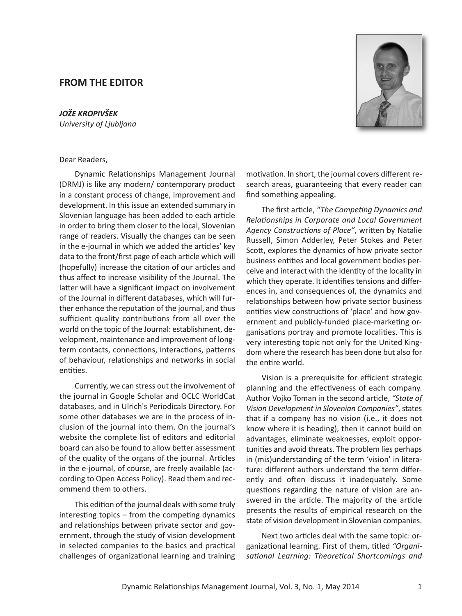## **FROM THE EDITOR**

*JOŽE KROPIVŠEK University of Ljubljana*



## Dear Readers,

Dynamic Relationships Management Journal (DRMJ) is like any modern/ contemporary product in a constant process of change, improvement and development. In this issue an extended summary in Slovenian language has been added to each article in order to bring them closer to the local, Slovenian range of readers. Visually the changes can be seen in the e-journal in which we added the articles' key data to the front/first page of each article which will (hopefully) increase the citation of our articles and thus affect to increase visibility of the Journal. The latter will have a significant impact on involvement of the Journal in different databases, which will further enhance the reputation of the journal, and thus sufficient quality contributions from all over the world on the topic of the Journal: establishment, development, maintenance and improvement of longterm contacts, connections, interactions, patterns of behaviour, relationships and networks in social entities.

Currently, we can stress out the involvement of the journal in Google Scholar and OCLC WorldCat databases, and in Ulrich's Periodicals Directory. For some other databases we are in the process of inclusion of the journal into them. On the journal's website the complete list of editors and editorial board can also be found to allow better assessment of the quality of the organs of the journal. Articles in the e-journal, of course, are freely available (according to Open Access Policy). Read them and recommend them to others.

This edition of the journal deals with some truly interesting topics – from the competing dynamics and relationships between private sector and government, through the study of vision development in selected companies to the basics and practical challenges of organizational learning and training

motivation. In short, the journal covers different research areas, guaranteeing that every reader can find something appealing.

The first article, *"The Competing Dynamics and Relationships in Corporate and Local Government Agency Constructions of Place"*, written by Natalie Russell, Simon Adderley, Peter Stokes and Peter Scott, explores the dynamics of how private sector business entities and local government bodies perceive and interact with the identity of the locality in which they operate. It identifies tensions and differences in, and consequences of, the dynamics and relationships between how private sector business entities view constructions of 'place' and how government and publicly-funded place-marketing organisations portray and promote localities. This is very interesting topic not only for the United Kingdom where the research has been done but also for the entire world.

Vision is a prerequisite for efficient strategic planning and the effectiveness of each company. Author Vojko Toman in the second article, *"State of Vision Development in Slovenian Companies"*,states that if a company has no vision (i.e., it does not know where it is heading), then it cannot build on advantages, eliminate weaknesses, exploit opportunities and avoid threats. The problem lies perhaps in (mis)understanding of the term 'vision' in literature: different authors understand the term differently and often discuss it inadequately. Some questions regarding the nature of vision are answered in the article. The majority of the article presents the results of empirical research on the state of vision development in Slovenian companies.

Next two articles deal with the same topic: organizational learning. First of them, titled *"Organisational Learning: Theoretical Shortcomings and*